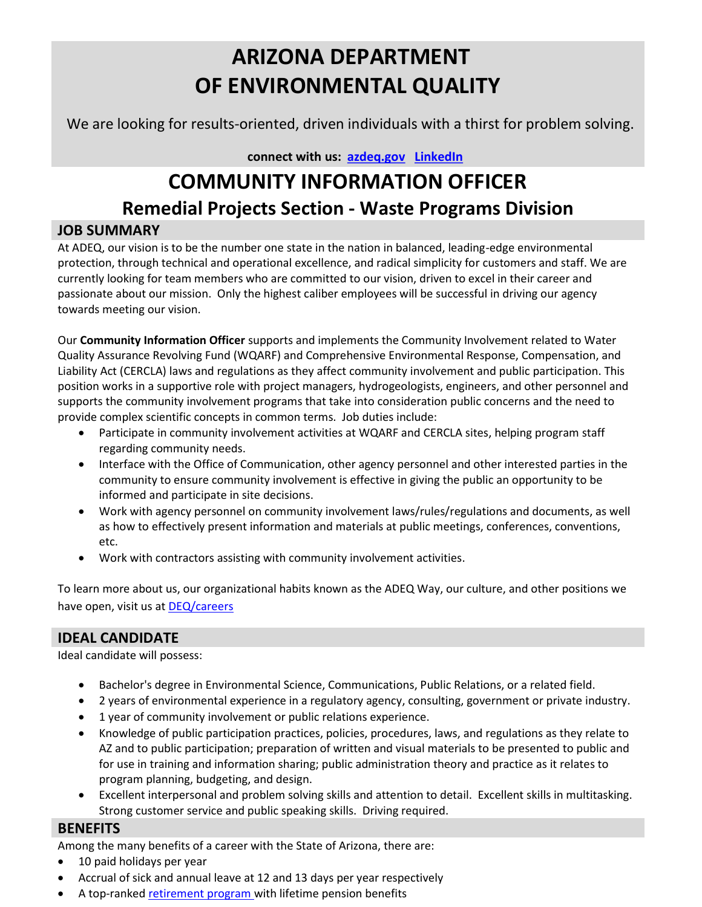## ARIZONA DEPARTMENT OF ENVIRONMENTAL QUALITY

We are looking for results-oriented, driven individuals with a thirst for problem solving.

connect with us: azdeq.gov LinkedIn

# COMMUNITY INFORMATION OFFICER Remedial Projects Section - Waste Programs Division

## JOB SUMMARY

At ADEQ, our vision is to be the number one state in the nation in balanced, leading-edge environmental protection, through technical and operational excellence, and radical simplicity for customers and staff. We are currently looking for team members who are committed to our vision, driven to excel in their career and passionate about our mission. Only the highest caliber employees will be successful in driving our agency towards meeting our vision.

Our Community Information Officer supports and implements the Community Involvement related to Water Quality Assurance Revolving Fund (WQARF) and Comprehensive Environmental Response, Compensation, and Liability Act (CERCLA) laws and regulations as they affect community involvement and public participation. This position works in a supportive role with project managers, hydrogeologists, engineers, and other personnel and supports the community involvement programs that take into consideration public concerns and the need to provide complex scientific concepts in common terms. Job duties include:

- Participate in community involvement activities at WQARF and CERCLA sites, helping program staff regarding community needs.
- Interface with the Office of Communication, other agency personnel and other interested parties in the community to ensure community involvement is effective in giving the public an opportunity to be informed and participate in site decisions.
- Work with agency personnel on community involvement laws/rules/regulations and documents, as well as how to effectively present information and materials at public meetings, conferences, conventions, etc.
- Work with contractors assisting with community involvement activities.

To learn more about us, our organizational habits known as the ADEQ Way, our culture, and other positions we have open, visit us at DEQ/careers

## IDEAL CANDIDATE

Ideal candidate will possess:

- Bachelor's degree in Environmental Science, Communications, Public Relations, or a related field.
- 2 years of environmental experience in a regulatory agency, consulting, government or private industry.
- 1 year of community involvement or public relations experience.
- Knowledge of public participation practices, policies, procedures, laws, and regulations as they relate to AZ and to public participation; preparation of written and visual materials to be presented to public and for use in training and information sharing; public administration theory and practice as it relates to program planning, budgeting, and design.
- Excellent interpersonal and problem solving skills and attention to detail. Excellent skills in multitasking. Strong customer service and public speaking skills. Driving required.

## **BENEFITS**

Among the many benefits of a career with the State of Arizona, there are:

- 10 paid holidays per year
- Accrual of sick and annual leave at 12 and 13 days per year respectively
- A top-ranked retirement program with lifetime pension benefits